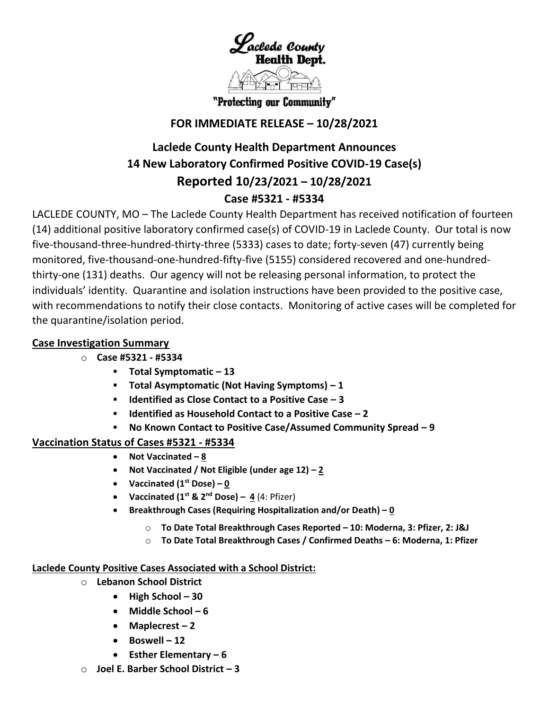

"Protecting our Community"

## **FOR IMMEDIATE RELEASE – 10/28/2021**

# **Laclede County Health Department Announces 14 New Laboratory Confirmed Positive COVID-19 Case(s) Reported 10/23/2021 – 10/28/2021 Case #5321 - #5334**

LACLEDE COUNTY, MO – The Laclede County Health Department has received notification of fourteen (14) additional positive laboratory confirmed case(s) of COVID-19 in Laclede County. Our total is now five-thousand-three-hundred-thirty-three (5333) cases to date; forty-seven (47) currently being monitored, five-thousand-one-hundred-fifty-five (5155) considered recovered and one-hundredthirty-one (131) deaths. Our agency will not be releasing personal information, to protect the individuals' identity. Quarantine and isolation instructions have been provided to the positive case, with recommendations to notify their close contacts. Monitoring of active cases will be completed for the quarantine/isolation period.

## **Case Investigation Summary**

- o **Case #5321 - #5334**
	- **Total Symptomatic – 13**
	- **Total Asymptomatic (Not Having Symptoms) – 1**
	- **Identified as Close Contact to a Positive Case – 3**
	- **Identified as Household Contact to a Positive Case – 2**
	- **No Known Contact to Positive Case/Assumed Community Spread – 9**

## **Vaccination Status of Cases #5321 - #5334**

- **Not Vaccinated – 8**
- **Not Vaccinated / Not Eligible (under age 12) – 2**
- **•** Vaccinated  $(1^{\text{st}} \text{ Bose}) 0$
- Vaccinated  $(1^{st}$  &  $2^{nd}$  Dose) 4  $(4:$  Pfizer)
- **Breakthrough Cases (Requiring Hospitalization and/or Death) – 0**
	- o **To Date Total Breakthrough Cases Reported – 10: Moderna, 3: Pfizer, 2: J&J**
	- o **To Date Total Breakthrough Cases / Confirmed Deaths – 6: Moderna, 1: Pfizer**

### **Laclede County Positive Cases Associated with a School District:**

- o **Lebanon School District**
	- **High School – 30**
	- **Middle School – 6**
	- **Maplecrest – 2**
	- **Boswell – 12**
	- **Esther Elementary – 6**
- o **Joel E. Barber School District – 3**